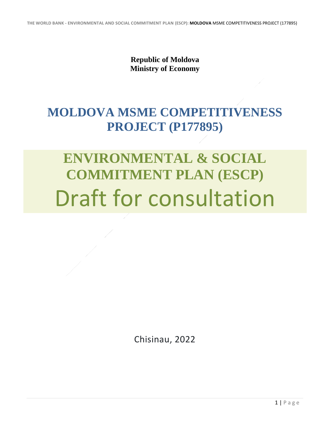**Republic of Moldova Ministry of Economy**

## **MOLDOVA MSME COMPETITIVENESS PROJECT (P177895)**

## **ENVIRONMENTAL & SOCIAL COMMITMENT PLAN (ESCP)** Draft for consultation

Chisinau, 2022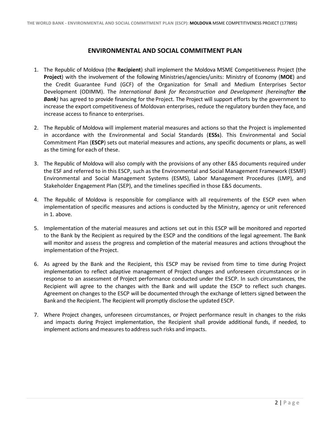## **ENVIRONMENTAL AND SOCIAL COMMITMENT PLAN**

- 1. The Republic of Moldova (the **Recipient**) shall implement the Moldova MSME Competitiveness Project (the **Project**) with the involvement of the following Ministries/agencies/units: Ministry of Economy (**MOE**) and the Credit Guarantee Fund (GCF) of the Organization for Small and Medium Enterprises Sector Development (ODIMM). The *International Bank for Reconstruction and Development (hereinafter the Bank*) has agreed to provide financing for the Project. The Project will support efforts by the government to increase the export competitiveness of Moldovan enterprises, reduce the regulatory burden they face, and increase access to finance to enterprises.
- 2. The Republic of Moldova will implement material measures and actions so that the Project is implemented in accordance with the Environmental and Social Standards (**ESSs**). This Environmental and Social Commitment Plan (**ESCP**) sets out material measures and actions, any specific documents or plans, as well as the timing for each of these.
- 3. The Republic of Moldova will also comply with the provisions of any other E&S documents required under the ESF and referred to in this ESCP, such as the Environmental and Social Management Framework (ESMF) Environmental and Social Management Systems (ESMS), Labor Management Procedures (LMP), and Stakeholder Engagement Plan (SEP), and the timelines specified in those E&S documents.
- 4. The Republic of Moldova is responsible for compliance with all requirements of the ESCP even when implementation of specific measures and actions is conducted by the Ministry, agency or unit referenced in 1. above.
- 5. Implementation of the material measures and actions set out in this ESCP will be monitored and reported to the Bank by the Recipient as required by the ESCP and the conditions of the legal agreement. The Bank will monitor and assess the progress and completion of the material measures and actions throughout the implementation of the Project.
- 6. As agreed by the Bank and the Recipient, this ESCP may be revised from time to time during Project implementation to reflect adaptive management of Project changes and unforeseen circumstances or in response to an assessment of Project performance conducted under the ESCP. In such circumstances, the Recipient will agree to the changes with the Bank and will update the ESCP to reflect such changes. Agreement on changes to the ESCP will be documented through the exchange of letters signed between the Bank and the Recipient. The Recipient will promptly disclose the updated ESCP.
- 7. Where Project changes, unforeseen circumstances, or Project performance result in changes to the risks and impacts during Project implementation, the Recipient shall provide additional funds, if needed, to implement actions and measures to address such risks and impacts.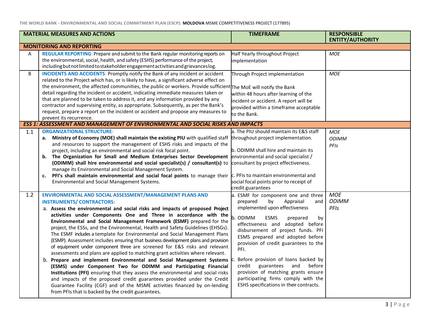**THE WORLD BANK - ENVIRONMENTAL AND SOCIAL COMMITMENT PLAN (ESCP): MOLDOVA** MSME COMPETITIVENESS PROJECT (177895)

| <b>MATERIAL MEASURES AND ACTIONS</b> |                                                                                                                                                                                                                                                                                                                                                                                                                                                                                                                                                                                                                                                                                                                                                                                                                                                                                                                                                                                                                                                                                                                                                                                                | <b>TIMEFRAME</b>                                                                                                                                                                                                                                                                                                                                                                                                                                                                                                        | <b>RESPONSIBLE</b><br><b>ENTITY/AUTHORITY</b> |
|--------------------------------------|------------------------------------------------------------------------------------------------------------------------------------------------------------------------------------------------------------------------------------------------------------------------------------------------------------------------------------------------------------------------------------------------------------------------------------------------------------------------------------------------------------------------------------------------------------------------------------------------------------------------------------------------------------------------------------------------------------------------------------------------------------------------------------------------------------------------------------------------------------------------------------------------------------------------------------------------------------------------------------------------------------------------------------------------------------------------------------------------------------------------------------------------------------------------------------------------|-------------------------------------------------------------------------------------------------------------------------------------------------------------------------------------------------------------------------------------------------------------------------------------------------------------------------------------------------------------------------------------------------------------------------------------------------------------------------------------------------------------------------|-----------------------------------------------|
|                                      | <b>MONITORING AND REPORTING</b>                                                                                                                                                                                                                                                                                                                                                                                                                                                                                                                                                                                                                                                                                                                                                                                                                                                                                                                                                                                                                                                                                                                                                                |                                                                                                                                                                                                                                                                                                                                                                                                                                                                                                                         |                                               |
| Α                                    | REGULAR REPORTING: Prepare and submit to the Bank regular monitoring reports on<br>the environmental, social, health, and safety (ESHS) performance of the project,<br>including but not limited to stakeholder engagement activities and grievances log.                                                                                                                                                                                                                                                                                                                                                                                                                                                                                                                                                                                                                                                                                                                                                                                                                                                                                                                                      | Half Yearly throughout Project<br>implementation                                                                                                                                                                                                                                                                                                                                                                                                                                                                        | <b>MOE</b>                                    |
| B                                    | <b>INCIDENTS AND ACCIDENTS:</b> Promptly notify the Bank of any incident or accident<br>related to the Project which has, or is likely to have, a significant adverse effect on<br>the environment, the affected communities, the public or workers. Provide sufficient The MoE will notify the Bank<br>detail regarding the incident or accident, indicating immediate measures taken or<br>that are planned to be taken to address it, and any information provided by any<br>contractor and supervising entity, as appropriate. Subsequently, as per the Bank's<br>request, prepare a report on the incident or accident and propose any measures to<br>prevent its recurrence.                                                                                                                                                                                                                                                                                                                                                                                                                                                                                                             | Through Project implementation<br>within 48 hours after learning of the<br>incident or accident. A report will be<br>provided within a timeframe acceptable<br>to the Bank.                                                                                                                                                                                                                                                                                                                                             | <b>MOE</b>                                    |
|                                      | <b>ESS 1: ASSESSMENT AND MANAGEMENT OF ENVIRONMENTAL AND SOCIAL RISKS AND IMPACTS</b>                                                                                                                                                                                                                                                                                                                                                                                                                                                                                                                                                                                                                                                                                                                                                                                                                                                                                                                                                                                                                                                                                                          |                                                                                                                                                                                                                                                                                                                                                                                                                                                                                                                         |                                               |
| 1.1                                  | <b>ORGANIZATIONAL STRUCTURE:</b><br>a. Ministry of Economy (MOE) shall maintain the existing PIU with qualified staff<br>and resources to support the management of ESHS risks and impacts of the<br>project, including an environmental and social risk focal point.<br>b. The Organization for Small and Medium Enterprises Sector Development<br>(ODIMM) shall hire environmental and social specialist(s) / consultant(s) to<br>manage its Environmental and Social Management System.<br>c. PFI's shall maintain environmental and social focal points to manage their<br>Environmental and Social Management Systems.                                                                                                                                                                                                                                                                                                                                                                                                                                                                                                                                                                    | a. The PIU should maintain its E&S staff<br>throughout project implementation.<br>b. ODIMM shall hire and maintain its<br>environmental and social specialist /<br>consultant by project effectiveness.<br>c. PFIs to maintain environmental and<br>social focal points prior to receipt of<br>credit guarantees                                                                                                                                                                                                        | <b>MOE</b><br><b>ODIMM</b><br>PFIs            |
| 1.2                                  | ENVIRONMENTAL AND SOCIAL ASSESSMENT/MANAGEMENT PLANS AND<br><b>INSTRUMENTS/ CONTRACTORS:</b><br>a. Assess the environmental and social risks and impacts of proposed Project<br>activities under Components One and Three in accordance with the<br>Environmental and Social Management Framework (ESMF) prepared for the<br>project, the ESSs, and the Environmental, Health and Safety Guidelines (EHSGs).<br>The ESMF includes a template for Environmental and Social Management Plans<br>(ESMP). Assessment includes ensuring that business development plans and provision<br>of equipment under component three are screened for E&S risks and relevant<br>assessments and plans are applied to matching grant activities where relevant.<br>b. Prepare and implement Environmental and Social Management Systems<br>(ESMS) under Component Two for ODIMM and Participating Financial<br>Institutions (PFI) ensuring that they assess the environmental and social risks<br>and impacts of the proposed credit guarantees provided under the Credit<br>Guarantee Facility (CGF) and of the MSME activities financed by on-lending<br>from PFIs that is backed by the credit guarantees. | a. ESMF for component one and three<br>prepared<br>by<br>Appraisal<br>and<br>implemented upon effectiveness<br><b>ODIMM</b><br>ESMS<br>prepared<br>by<br>effectiveness and adopted before<br>disbursement of project funds. PFI<br>ESMS prepared and adopted before<br>provision of credit guarantees to the<br>PFI.<br>Before provision of loans backed by<br>credit guarantees and<br>before<br>provision of matching grants ensure<br>participating firms comply with the<br>ESHS specifications in their contracts. | <b>MOE</b><br><b>ODIMM</b><br>PFIs            |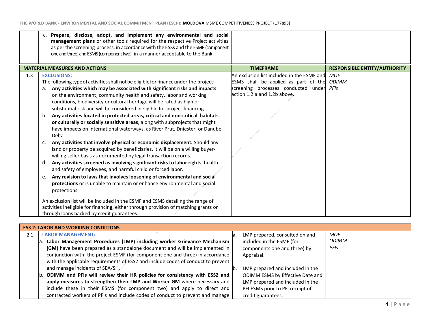|     | c. Prepare, disclose, adopt, and implement any environmental and social<br>management plans or other tools required for the respective Project activities<br>as per the screening process, in accordance with the ESSs and the ESMF (component<br>one and three) and ESMS (component two), in a manner acceptable to the Bank.                                                                                                                                                                                                                                                                                                                                                                                                                                                                                                                                                                                                                                                                                                                                                                                                                                                                                                                                                                                                                                                                                                             |                                                                                                                                                                           |                                     |
|-----|--------------------------------------------------------------------------------------------------------------------------------------------------------------------------------------------------------------------------------------------------------------------------------------------------------------------------------------------------------------------------------------------------------------------------------------------------------------------------------------------------------------------------------------------------------------------------------------------------------------------------------------------------------------------------------------------------------------------------------------------------------------------------------------------------------------------------------------------------------------------------------------------------------------------------------------------------------------------------------------------------------------------------------------------------------------------------------------------------------------------------------------------------------------------------------------------------------------------------------------------------------------------------------------------------------------------------------------------------------------------------------------------------------------------------------------------|---------------------------------------------------------------------------------------------------------------------------------------------------------------------------|-------------------------------------|
|     | <b>MATERIAL MEASURES AND ACTIONS</b>                                                                                                                                                                                                                                                                                                                                                                                                                                                                                                                                                                                                                                                                                                                                                                                                                                                                                                                                                                                                                                                                                                                                                                                                                                                                                                                                                                                                       | <b>TIMEFRAME</b>                                                                                                                                                          | <b>RESPONSIBLE ENTITY/AUTHORITY</b> |
| 1.3 | <b>EXCLUSIONS:</b><br>The following type of activities shall not be eligible for finance under the project:<br>Any activities which may be associated with significant risks and impacts<br>on the environment, community health and safety, labor and working<br>conditions, biodiversity or cultural heritage will be rated as high or<br>substantial risk and will be considered ineligible for project financing.<br>Any activities located in protected areas, critical and non-critical habitats<br>b.<br>or culturally or socially sensitive areas, along with subprojects that might<br>have impacts on international waterways, as River Prut, Dniester, or Danube<br>Delta<br>Any activities that involve physical or economic displacement. Should any<br>c.<br>land or property be acquired by beneficiaries, it will be on a willing buyer-<br>willing seller basis as documented by legal transaction records.<br>Any activities screened as involving significant risks to labor rights, health<br>d.<br>and safety of employees, and harmful child or forced labor.<br>Any revision to laws that involves loosening of environmental and social<br>e.<br>protections or is unable to maintain or enhance environmental and social<br>protections.<br>An exclusion list will be included in the ESMF and ESMS detailing the range of<br>activities ineligible for financing, either through provision of matching grants or | An exclusion list included in the ESMF and MOE<br>ESMS shall be applied as part of the<br>screening processes conducted under <i>PFIs</i><br>action 1.2.a and 1.2b above. | ODIMM                               |
|     | through loans backed by credit guarantees.                                                                                                                                                                                                                                                                                                                                                                                                                                                                                                                                                                                                                                                                                                                                                                                                                                                                                                                                                                                                                                                                                                                                                                                                                                                                                                                                                                                                 |                                                                                                                                                                           |                                     |

|     | <b>ESS 2: LABOR AND WORKING CONDITIONS</b>                                       |     |                                  |              |
|-----|----------------------------------------------------------------------------------|-----|----------------------------------|--------------|
| 2.1 | <b>LABOR MANAGEMENT:</b>                                                         | ia. | LMP prepared, consulted on and   | <b>MOE</b>   |
|     | a. Labor Management Procedures (LMP) including worker Grievance Mechanism        |     | included in the ESMF (for        | <b>ODIMM</b> |
|     | (GM) have been prepared as a standalone document and will be implemented in      |     | components one and three) by     | <b>PFIs</b>  |
|     | conjunction with the project ESMF (for component one and three) in accordance    |     | Appraisal.                       |              |
|     | with the applicable requirements of ESS2 and include codes of conduct to prevent |     |                                  |              |
|     | and manage incidents of SEA/SH                                                   | Ib. | LMP prepared and included in the |              |
|     | b. ODIMM and PFIs will review their HR policies for consistency with ESS2 and    |     | ODIMM ESMS by Effective Date and |              |
|     | apply measures to strengthen their LMP and Worker GM where necessary and         |     | LMP prepared and included in the |              |
|     | include these in their ESMS (for component two) and apply to direct and          |     | PFI ESMS prior to PFI receipt of |              |
|     | contracted workers of PFIs and include codes of conduct to prevent and manage    |     | credit guarantees.               |              |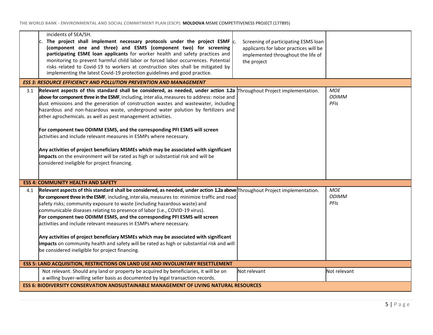| incidents of SEA/SH.<br>The project shall implement necessary protocols under the project ESMF $\alpha$<br>(component one and three) and ESMS (component two) for screening<br>participating ESME loan applicants for worker health and safety practices and<br>monitoring to prevent harmful child labor or forced labor occurrences. Potential<br>risks related to Covid-19 to workers at construction sites shall be mitigated by<br>implementing the latest Covid-19 protection guidelines and good practice.                                                                                                                                                                                                                                                                                                                                   | Screening of participating ESMS loan<br>applicants for labor practices will be<br>implemented throughout the life of<br>the project |                                    |  |
|-----------------------------------------------------------------------------------------------------------------------------------------------------------------------------------------------------------------------------------------------------------------------------------------------------------------------------------------------------------------------------------------------------------------------------------------------------------------------------------------------------------------------------------------------------------------------------------------------------------------------------------------------------------------------------------------------------------------------------------------------------------------------------------------------------------------------------------------------------|-------------------------------------------------------------------------------------------------------------------------------------|------------------------------------|--|
| <b>ESS 3: RESOURCE EFFICIENCY AND POLLUTION PREVENTION AND MANAGEMENT</b>                                                                                                                                                                                                                                                                                                                                                                                                                                                                                                                                                                                                                                                                                                                                                                           |                                                                                                                                     |                                    |  |
| Relevant aspects of this standard shall be considered, as needed, under action 1.2a Throughout Project implementation.<br>3.1<br>above for component three in the ESMF, including, interalia, measures to address: noise and<br>dust emissions and the generation of construction wastes and wastewater, including<br>hazardous and non-hazardous waste, underground water polution by fertilizers and<br>other agrochemicals. as well as pest management activities.<br>For component two ODIMM ESMS, and the corresponding PFI ESMS will screen<br>activities and include relevant measures in ESMPs where necessary.<br>Any activities of project beneficiary MSMEs which may be associated with significant<br>impacts on the environment will be rated as high or substantial risk and will be<br>considered ineligible for project financing. |                                                                                                                                     | <b>MOE</b><br><b>ODIMM</b><br>PFIs |  |
| <b>ESS 4: COMMUNITY HEALTH AND SAFETY</b>                                                                                                                                                                                                                                                                                                                                                                                                                                                                                                                                                                                                                                                                                                                                                                                                           |                                                                                                                                     |                                    |  |
| Relevant aspects of this standard shall be considered, as needed, under action 1.2a above Throughout Project implementation.<br>4.1<br>for component three in the ESMF, including, interalia, measures to: minimize traffic and road<br>safety risks; community exposure to waste (including hazardous waste) and<br>communicable diseases relating to presence of labor (i.e., COVID-19 virus).<br>For component two ODIMM ESMS, and the corresponding PFI ESMS will screen<br>activities and include relevant measures in ESMPs where necessary.<br>Any activities of project beneficiary MSMEs which may be associated with significant<br>impacts on community health and safety will be rated as high or substantial risk and will<br>be considered ineligible for project financing.                                                          |                                                                                                                                     | <b>MOE</b><br><b>ODIMM</b><br>PFIs |  |
| ESS 5: LAND ACQUISITION, RESTRICTIONS ON LAND USE AND INVOLUNTARY RESETTLEMENT                                                                                                                                                                                                                                                                                                                                                                                                                                                                                                                                                                                                                                                                                                                                                                      |                                                                                                                                     |                                    |  |
| Not relevant. Should any land or property be acquired by beneficiaries, it will be on<br>a willing buyer-willing seller basis as documented by legal transaction records.                                                                                                                                                                                                                                                                                                                                                                                                                                                                                                                                                                                                                                                                           | Not relevant                                                                                                                        | Not relevant                       |  |
| ESS 6: BIODIVERSITY CONSERVATION ANDSUSTAINABLE MANAGEMENT OF LIVING NATURAL RESOURCES                                                                                                                                                                                                                                                                                                                                                                                                                                                                                                                                                                                                                                                                                                                                                              |                                                                                                                                     |                                    |  |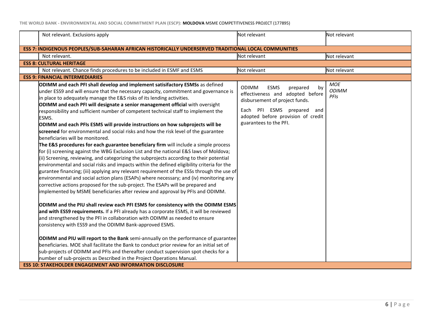**THE WORLD BANK - ENVIRONMENTAL AND SOCIAL COMMITMENT PLAN (ESCP): MOLDOVA** MSME COMPETITIVENESS PROJECT (177895)

| Not relevant. Exclusions apply                                                                                                                                                                                                                                                                                                                                                                                                                                                                                                                                                                                                                                                                                                                                                                                                                                                                                                                                                                                                                                                                                                                                                                                                                                                                                                                                                                                                                                                                                                                                                                                                                                                                                                                                                                                                                                                                                                                                                                                                                                                                                                               | Not relevant                                                                                                                                                                                                      | Not relevant                       |
|----------------------------------------------------------------------------------------------------------------------------------------------------------------------------------------------------------------------------------------------------------------------------------------------------------------------------------------------------------------------------------------------------------------------------------------------------------------------------------------------------------------------------------------------------------------------------------------------------------------------------------------------------------------------------------------------------------------------------------------------------------------------------------------------------------------------------------------------------------------------------------------------------------------------------------------------------------------------------------------------------------------------------------------------------------------------------------------------------------------------------------------------------------------------------------------------------------------------------------------------------------------------------------------------------------------------------------------------------------------------------------------------------------------------------------------------------------------------------------------------------------------------------------------------------------------------------------------------------------------------------------------------------------------------------------------------------------------------------------------------------------------------------------------------------------------------------------------------------------------------------------------------------------------------------------------------------------------------------------------------------------------------------------------------------------------------------------------------------------------------------------------------|-------------------------------------------------------------------------------------------------------------------------------------------------------------------------------------------------------------------|------------------------------------|
| ESS 7: INDIGENOUS PEOPLES/SUB-SAHARAN AFRICAN HISTORICALLY UNDERSERVED TRADITIONAL LOCAL COMMUNITIES                                                                                                                                                                                                                                                                                                                                                                                                                                                                                                                                                                                                                                                                                                                                                                                                                                                                                                                                                                                                                                                                                                                                                                                                                                                                                                                                                                                                                                                                                                                                                                                                                                                                                                                                                                                                                                                                                                                                                                                                                                         |                                                                                                                                                                                                                   |                                    |
| Not relevant.                                                                                                                                                                                                                                                                                                                                                                                                                                                                                                                                                                                                                                                                                                                                                                                                                                                                                                                                                                                                                                                                                                                                                                                                                                                                                                                                                                                                                                                                                                                                                                                                                                                                                                                                                                                                                                                                                                                                                                                                                                                                                                                                | Not relevant                                                                                                                                                                                                      | Not relevant                       |
| <b>ESS 8: CULTURAL HERITAGE</b>                                                                                                                                                                                                                                                                                                                                                                                                                                                                                                                                                                                                                                                                                                                                                                                                                                                                                                                                                                                                                                                                                                                                                                                                                                                                                                                                                                                                                                                                                                                                                                                                                                                                                                                                                                                                                                                                                                                                                                                                                                                                                                              |                                                                                                                                                                                                                   |                                    |
| Not relevant. Chance finds procedures to be included in ESMF and ESMS                                                                                                                                                                                                                                                                                                                                                                                                                                                                                                                                                                                                                                                                                                                                                                                                                                                                                                                                                                                                                                                                                                                                                                                                                                                                                                                                                                                                                                                                                                                                                                                                                                                                                                                                                                                                                                                                                                                                                                                                                                                                        | Not relevant                                                                                                                                                                                                      | Not relevant                       |
| <b>ESS 9: FINANCIAL INTERMEDIARIES</b>                                                                                                                                                                                                                                                                                                                                                                                                                                                                                                                                                                                                                                                                                                                                                                                                                                                                                                                                                                                                                                                                                                                                                                                                                                                                                                                                                                                                                                                                                                                                                                                                                                                                                                                                                                                                                                                                                                                                                                                                                                                                                                       |                                                                                                                                                                                                                   |                                    |
| ODIMM and each PFI shall develop and implement satisifactory ESMSs as defined<br>under ESS9 and will ensure that the necessary capacity, commitment and governance is<br>in place to adequately manage the E&S risks of its lending activities.<br>ODIMM and each PFI will designate a senior management official with oversight<br>responsibility and sufficient number of competent technical staff to implement the<br>ESMS.<br>ODIMM and each PFIs ESMS will provide instructions on how subprojects will be<br>screened for environmental and social risks and how the risk level of the guarantee<br>beneficiaries will be monitored.<br>The E&S procedures for each guarantee beneficiary firm will include a simple process<br>for (i) screening against the WBG Exclusion List and the national E&S laws of Moldova;<br>(ii) Screening, reviewing, and categorizing the subprojects according to their potential<br>environmental and social risks and impacts within the defined eligibility criteria for the<br>gurantee financing; (iii) applying any relevant requirement of the ESSs through the use of<br>environmental and social action plans (ESAPs) where necessary; and (iv) monitoring any<br>corrective actions proposed for the sub-project. The ESAPs will be prepared and<br>implemented by MSME beneficiaries after review and approval by PFIs and ODIMM.<br>ODIMM and the PIU shall review each PFI ESMS for consistency with the ODIMM ESMS<br>and with ESS9 requirements. If a PFI already has a corporate ESMS, it will be reviewed<br>and strengthened by the PFI in collaboration with ODIMM as needed to ensure<br>consistency with ESS9 and the ODIMM Bank-approved ESMS.<br><b>ODIMM and PIU will report to the Bank</b> semi-annually on the performance of guarantee<br>beneficiaries. MOE shall facilitate the Bank to conduct prior review for an initial set of<br>sub-projects of ODIMM and PFIs and thereafter conduct supervision spot checks for a<br>number of sub-projects as Described in the Project Operations Manual.<br><b>ESS 10: STAKEHOLDER ENGAGEMENT AND INFORMATION DISCLOSURE</b> | <b>ODIMM</b><br><b>ESMS</b><br>by<br>prepared<br>effectiveness and adopted before<br>disbursement of project funds.<br>Each PFI ESMS prepared and<br>adopted before provision of credit<br>guarantees to the PFI. | <b>MOE</b><br><b>ODIMM</b><br>PFIs |